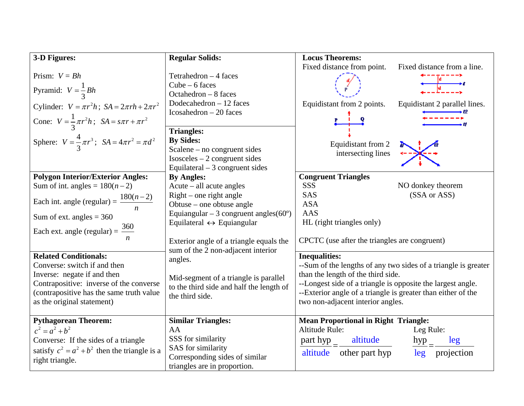| 3-D Figures:                                                 | <b>Regular Solids:</b>                           | <b>Locus Theorems:</b>                                         |
|--------------------------------------------------------------|--------------------------------------------------|----------------------------------------------------------------|
|                                                              |                                                  | Fixed distance from point.<br>Fixed distance from a line.      |
| Prism: $V = Bh$                                              | Tetrahedron - 4 faces                            |                                                                |
| Pyramid: $V = \frac{1}{3} Bh$                                | Cube $-6$ faces                                  |                                                                |
|                                                              | Octahedron - 8 faces                             |                                                                |
| Cylinder: $V = \pi r^2 h$ ; $SA = 2\pi rh + 2\pi r^2$        | Dodecahedron $-12$ faces                         | Equidistant from 2 points.<br>Equidistant 2 parallel lines.    |
|                                                              | Icosahedron - 20 faces                           |                                                                |
| Cone: $V = \frac{1}{3}\pi r^2 h$ ; $SA = s\pi r + \pi r^2$   |                                                  |                                                                |
|                                                              | <b>Triangles:</b>                                |                                                                |
| Sphere: $V = \frac{4}{3}\pi r^3$ ; $SA = 4\pi r^2 = \pi d^2$ | <b>By Sides:</b>                                 | Equidistant from 2                                             |
|                                                              | Scalene $-$ no congruent sides                   | intersecting lines                                             |
|                                                              | $Isosceles - 2 congruent sides$                  |                                                                |
|                                                              | Equilateral $-3$ congruent sides                 |                                                                |
| <b>Polygon Interior/Exterior Angles:</b>                     | <b>By Angles:</b>                                | <b>Congruent Triangles</b>                                     |
| Sum of int. angles = $180(n-2)$                              | $Acute - all acute angles$                       | <b>SSS</b><br>NO donkey theorem                                |
| Each int. angle (regular) = $\frac{180(n-2)}{2}$             | $Right$ – one right angle                        | <b>SAS</b><br>(SSA or ASS)                                     |
|                                                              | Obtuse – one obtuse angle                        | <b>ASA</b>                                                     |
| Sum of ext. angles = $360$                                   | Equiangular – 3 congruent angles( $60^{\circ}$ ) | AAS                                                            |
| 360                                                          | Equilateral $\leftrightarrow$ Equiangular        | HL (right triangles only)                                      |
| Each ext. angle (regular) $=$<br>$\boldsymbol{n}$            |                                                  |                                                                |
|                                                              | Exterior angle of a triangle equals the          | CPCTC (use after the triangles are congruent)                  |
| <b>Related Conditionals:</b>                                 | sum of the 2 non-adjacent interior               | <b>Inequalities:</b>                                           |
| Converse: switch if and then                                 | angles.                                          | --Sum of the lengths of any two sides of a triangle is greater |
| Inverse: negate if and then                                  |                                                  | than the length of the third side.                             |
| Contrapositive: inverse of the converse                      | Mid-segment of a triangle is parallel            | --Longest side of a triangle is opposite the largest angle.    |
| (contrapositive has the same truth value                     | to the third side and half the length of         | --Exterior angle of a triangle is greater than either of the   |
| as the original statement)                                   | the third side.                                  | two non-adjacent interior angles.                              |
|                                                              |                                                  |                                                                |
| <b>Pythagorean Theorem:</b>                                  | <b>Similar Triangles:</b>                        | <b>Mean Proportional in Right Triangle:</b>                    |
| $c^2 = a^2 + b^2$                                            | AA                                               | Altitude Rule:<br>Leg Rule:                                    |
| Converse: If the sides of a triangle                         | SSS for similarity                               | part hyp <sub>___</sub> altitude<br>hyp<br>leg                 |
| satisfy $c^2 = a^2 + b^2$ then the triangle is a             | SAS for similarity                               |                                                                |
| right triangle.                                              | Corresponding sides of similar                   | altitude other part hyp<br>leg<br>projection                   |
|                                                              | triangles are in proportion.                     |                                                                |